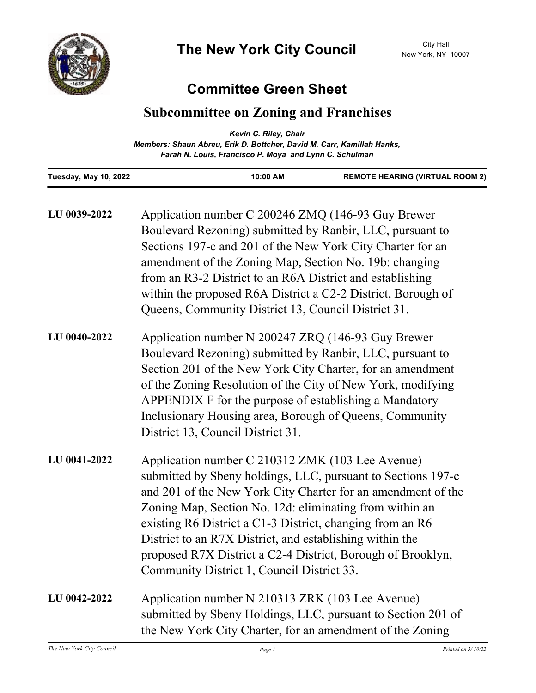

## **Committee Green Sheet**

## **Subcommittee on Zoning and Franchises**

|                              | Kevin C. Riley, Chair<br>Members: Shaun Abreu, Erik D. Bottcher, David M. Carr, Kamillah Hanks,<br>Farah N. Louis, Francisco P. Moya and Lynn C. Schulman |                                        |
|------------------------------|-----------------------------------------------------------------------------------------------------------------------------------------------------------|----------------------------------------|
| <b>Tuesday, May 10, 2022</b> | 10:00 AM                                                                                                                                                  | <b>REMOTE HEARING (VIRTUAL ROOM 2)</b> |

| LU 0039-2022 | Application number C 200246 ZMQ (146-93 Guy Brewer<br>Boulevard Rezoning) submitted by Ranbir, LLC, pursuant to<br>Sections 197-c and 201 of the New York City Charter for an<br>amendment of the Zoning Map, Section No. 19b: changing<br>from an R3-2 District to an R6A District and establishing<br>within the proposed R6A District a C2-2 District, Borough of<br>Queens, Community District 13, Council District 31.                                                       |
|--------------|-----------------------------------------------------------------------------------------------------------------------------------------------------------------------------------------------------------------------------------------------------------------------------------------------------------------------------------------------------------------------------------------------------------------------------------------------------------------------------------|
| LU 0040-2022 | Application number N 200247 ZRQ (146-93 Guy Brewer<br>Boulevard Rezoning) submitted by Ranbir, LLC, pursuant to<br>Section 201 of the New York City Charter, for an amendment<br>of the Zoning Resolution of the City of New York, modifying<br>APPENDIX F for the purpose of establishing a Mandatory<br>Inclusionary Housing area, Borough of Queens, Community<br>District 13, Council District 31.                                                                            |
| LU 0041-2022 | Application number C 210312 ZMK (103 Lee Avenue)<br>submitted by Sbeny holdings, LLC, pursuant to Sections 197-c<br>and 201 of the New York City Charter for an amendment of the<br>Zoning Map, Section No. 12d: eliminating from within an<br>existing R6 District a C1-3 District, changing from an R6<br>District to an R7X District, and establishing within the<br>proposed R7X District a C2-4 District, Borough of Brooklyn,<br>Community District 1, Council District 33. |
| LU 0042-2022 | Application number N 210313 ZRK (103 Lee Avenue)<br>submitted by Sbeny Holdings, LLC, pursuant to Section 201 of<br>the New York City Charter, for an amendment of the Zoning                                                                                                                                                                                                                                                                                                     |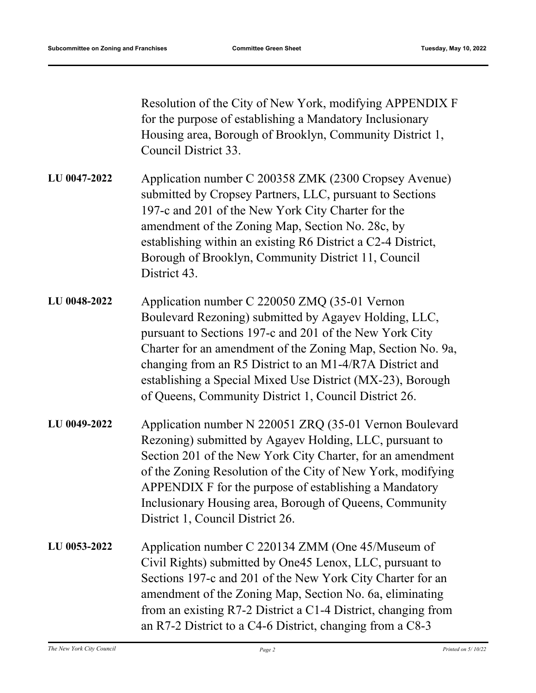Resolution of the City of New York, modifying APPENDIX F for the purpose of establishing a Mandatory Inclusionary Housing area, Borough of Brooklyn, Community District 1, Council District 33.

Application number C 200358 ZMK (2300 Cropsey Avenue) submitted by Cropsey Partners, LLC, pursuant to Sections 197-c and 201 of the New York City Charter for the amendment of the Zoning Map, Section No. 28c, by establishing within an existing R6 District a C2-4 District, Borough of Brooklyn, Community District 11, Council District 43. **LU 0047-2022**

- Application number C 220050 ZMQ (35-01 Vernon Boulevard Rezoning) submitted by Agayev Holding, LLC, pursuant to Sections 197-c and 201 of the New York City Charter for an amendment of the Zoning Map, Section No. 9a, changing from an R5 District to an M1-4/R7A District and establishing a Special Mixed Use District (MX-23), Borough of Queens, Community District 1, Council District 26. **LU 0048-2022**
- Application number N 220051 ZRQ (35-01 Vernon Boulevard Rezoning) submitted by Agayev Holding, LLC, pursuant to Section 201 of the New York City Charter, for an amendment of the Zoning Resolution of the City of New York, modifying APPENDIX F for the purpose of establishing a Mandatory Inclusionary Housing area, Borough of Queens, Community District 1, Council District 26. **LU 0049-2022**
- Application number C 220134 ZMM (One 45/Museum of Civil Rights) submitted by One45 Lenox, LLC, pursuant to Sections 197-c and 201 of the New York City Charter for an amendment of the Zoning Map, Section No. 6a, eliminating from an existing R7-2 District a C1-4 District, changing from an R7-2 District to a C4-6 District, changing from a C8-3 **LU 0053-2022**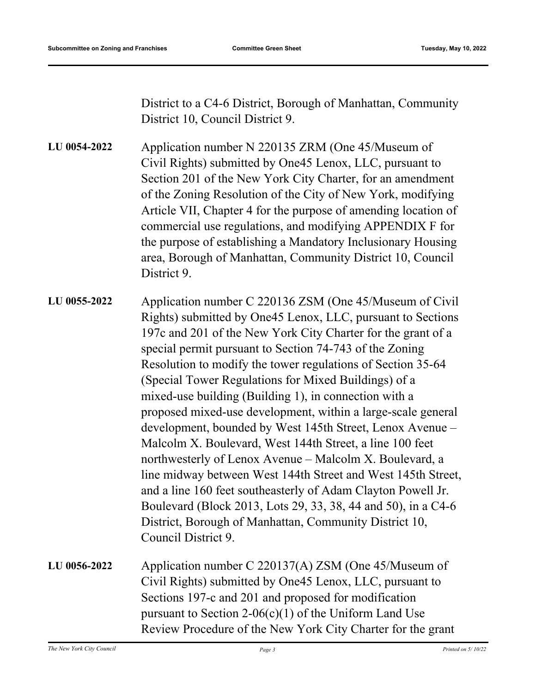District to a C4-6 District, Borough of Manhattan, Community District 10, Council District 9.

Application number N 220135 ZRM (One 45/Museum of Civil Rights) submitted by One45 Lenox, LLC, pursuant to Section 201 of the New York City Charter, for an amendment of the Zoning Resolution of the City of New York, modifying Article VII, Chapter 4 for the purpose of amending location of commercial use regulations, and modifying APPENDIX F for the purpose of establishing a Mandatory Inclusionary Housing area, Borough of Manhattan, Community District 10, Council District 9. **LU 0054-2022**

Application number C 220136 ZSM (One 45/Museum of Civil Rights) submitted by One45 Lenox, LLC, pursuant to Sections 197c and 201 of the New York City Charter for the grant of a special permit pursuant to Section 74-743 of the Zoning Resolution to modify the tower regulations of Section 35-64 (Special Tower Regulations for Mixed Buildings) of a mixed-use building (Building 1), in connection with a proposed mixed-use development, within a large-scale general development, bounded by West 145th Street, Lenox Avenue – Malcolm X. Boulevard, West 144th Street, a line 100 feet northwesterly of Lenox Avenue – Malcolm X. Boulevard, a line midway between West 144th Street and West 145th Street, and a line 160 feet southeasterly of Adam Clayton Powell Jr. Boulevard (Block 2013, Lots 29, 33, 38, 44 and 50), in a C4-6 District, Borough of Manhattan, Community District 10, Council District 9. **LU 0055-2022**

| LU 0056-2022 | Application number C 220137(A) ZSM (One 45/Museum of        |
|--------------|-------------------------------------------------------------|
|              | Civil Rights) submitted by One45 Lenox, LLC, pursuant to    |
|              | Sections 197-c and 201 and proposed for modification        |
|              | pursuant to Section 2-06(c)(1) of the Uniform Land Use      |
|              | Review Procedure of the New York City Charter for the grant |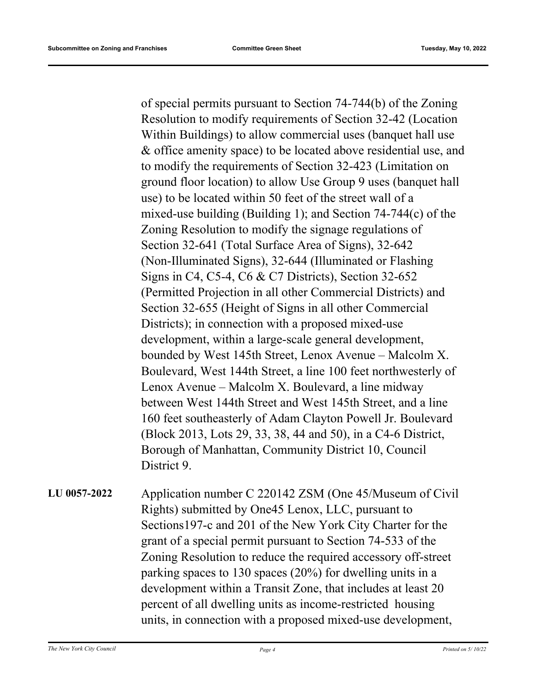of special permits pursuant to Section 74-744(b) of the Zoning Resolution to modify requirements of Section 32-42 (Location Within Buildings) to allow commercial uses (banquet hall use & office amenity space) to be located above residential use, and to modify the requirements of Section 32-423 (Limitation on ground floor location) to allow Use Group 9 uses (banquet hall use) to be located within 50 feet of the street wall of a mixed-use building (Building 1); and Section 74-744(c) of the Zoning Resolution to modify the signage regulations of Section 32-641 (Total Surface Area of Signs), 32-642 (Non-Illuminated Signs), 32-644 (Illuminated or Flashing Signs in C4, C5-4, C6 & C7 Districts), Section 32-652 (Permitted Projection in all other Commercial Districts) and Section 32-655 (Height of Signs in all other Commercial Districts); in connection with a proposed mixed-use development, within a large-scale general development, bounded by West 145th Street, Lenox Avenue – Malcolm X. Boulevard, West 144th Street, a line 100 feet northwesterly of Lenox Avenue – Malcolm X. Boulevard, a line midway between West 144th Street and West 145th Street, and a line 160 feet southeasterly of Adam Clayton Powell Jr. Boulevard (Block 2013, Lots 29, 33, 38, 44 and 50), in a C4-6 District, Borough of Manhattan, Community District 10, Council District 9.

Application number C 220142 ZSM (One 45/Museum of Civil Rights) submitted by One45 Lenox, LLC, pursuant to Sections197-c and 201 of the New York City Charter for the grant of a special permit pursuant to Section 74-533 of the Zoning Resolution to reduce the required accessory off-street parking spaces to 130 spaces (20%) for dwelling units in a development within a Transit Zone, that includes at least 20 percent of all dwelling units as income-restricted housing units, in connection with a proposed mixed-use development, **LU 0057-2022**